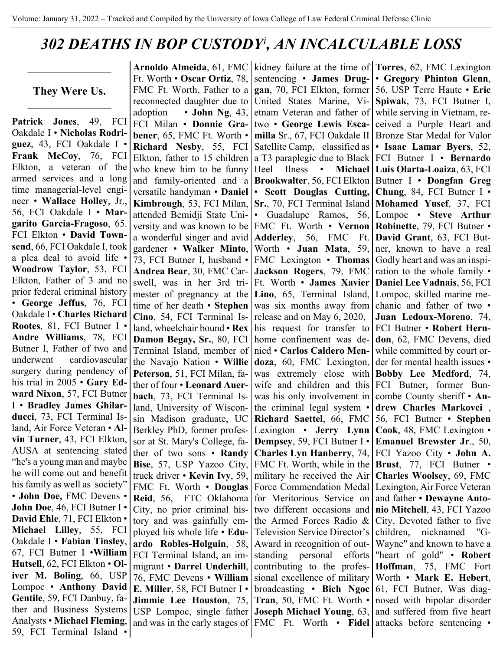## *302 DEATHS IN BOP CUSTODY[i](#page-3-0) , AN INCALCULABLE LOSS*

**They Were Us.**

 $\mathcal{L}=\mathcal{L}^{\mathcal{L}}$ 

**Patrick Jones**, 49, FCI Oakdale I • **Nicholas Rodriguez**, 43, FCI Oakdale I • **Frank McCoy**, 76, FCI Elkton, a veteran of the armed services and a long time managerial-level engineer • **Wallace Holley**, Jr., 56, FCI Oakdale I • **Margarito Garcia-Fragoso**, 65. FCI Elkton • **David Townsend**, 66, FCI Oakdale I, took a plea deal to avoid life • **Woodrow Taylor**, 53, FCI Elkton, Father of 3 and no prior federal criminal history • **George Jeffus**, 76, FCI Oakdale I • **Charles Richard Rootes**, 81, FCI Butner I • **Andre Williams**, 78, FCI Butner I, Father of two and underwent cardiovascular surgery during pendency of his trial in 2005 • **Gary Edward Nixon**, 57, FCI Butner I • **Bradley James Ghilarducci**, 73, FCI Terminal Island, Air Force Veteran • **Alvin Turner**, 43, FCI Elkton, AUSA at sentencing stated "he's a young man and maybe he will come out and benefit his family as well as society" • **John Doe,** FMC Devens • **John Doe**, 46, FCI Butner I • **David Ehle**, 71, FCI Elkton • **Michael Lilley**, 55, FCI Oakdale I • **Fabian Tinsley**, 67, FCI Butner I •**William Hutsell**, 62, FCI Elkton • **Oliver M. Boling**, 66, USP Lompoc • **Anthony David Gentile**, 59, FCI Danbuy, father and Business Systems Analysts • **Michael Fleming**, 59, FCI Terminal Island •

**Arnoldo Almeida**, 61, FMC Ft. Worth • **Oscar Ortiz**, 78, FMC Ft. Worth, Father to a reconnected daughter due to adoption • **John Ng**, 43, FCI Milan • **Donnie Grabener**, 65, FMC Ft. Worth • **Richard Nesby**, 55, FCI Elkton, father to 15 children who knew him to be funny and family-oriented and a versatile handyman • **Daniel Kimbrough**, 53, FCI Milan, attended Bemidji State University and was known to be a wonderful singer and avid gardener • **Walker Minto**, 73, FCI Butner I, husband • **Andrea Bear**, 30, FMC Carswell, was in her 3rd trimester of pregnancy at the time of her death • **Stephen Cino**, 54, FCI Terminal Island, wheelchair bound • **Rex Damon Begay, Sr.**, 80, FCI Terminal Island, member of the Navajo Nation • **Willie Peterson**, 51, FCI Milan, father of four • **Leonard Auerbach**, 73, FCI Terminal Island, University of Wisconsin Madison graduate, UC Berkley PhD, former professor at St. Mary's College, father of two sons • **Randy Bise**, 57, USP Yazoo City, truck driver • **Kevin Ivy**, 59, FMC Ft. Worth • **Douglas Reid**, 56, FTC Oklahoma City, no prior criminal history and was gainfully employed his whole life • **Eduardo Robles-Holguin**, 58, FCI Terminal Island, an immigrant • **Darrel Underhill**, 76, FMC Devens • **William E. Miller**, 58, FCI Butner I • **Jimmie Lee Houston**, 75, USP Lompoc, single father and was in the early stages of

kidney failure at the time of **Torres**, 62, FMC Lexington sentencing • **James Druggan**, 70, FCI Elkton, former United States Marine, Vietnam Veteran and father of two • **George Lewis Escamilla** Sr., 67, FCI Oakdale II Satellite Camp, classified as a T3 paraplegic due to Black Heel Ilness • **Michael Brookwalter**, 56, FCI Elkton • **Scott Douglas Cutting, Sr.**, 70, FCI Terminal Island • Guadalupe Ramos, 56, FMC Ft. Worth • **Vernon Adderley**, 56, FMC Ft. Worth • **Juan Mata**, 59, FMC Lexington • **Thomas Jackson Rogers**, 79, FMC Ft. Worth • **James Xavier Lino**, 65, Terminal Island, was six months away from release and on May 6, 2020, his request for transfer to home confinement was denied • **Carlos Caldero Mendoza**, 60, FMC Lexington, was extremely close with wife and children and this was his only involvement in the criminal legal system • **Richard Saettel**, 66, FMC Lexington • **Jerry Lynn Dempsey**, 59, FCI Butner I • **Charles Lyn Hanberry**, 74, FMC Ft. Worth, while in the military he received the Air Force Commendation Medal for Meritorious Service on two different occasions and the Armed Forces Radio & Television Service Director's Award in recognition of outstanding personal efforts contributing to the professional excellence of military broadcasting • **Bich Ngoc Tran**, 50, FMC Ft. Worth • **Joseph Michael Young**, 63, FMC Ft. Worth • Fidel attacks before sentencing •

• **Gregory Phinton Glenn**, 56, USP Terre Haute • **Eric Spiwak**, 73, FCI Butner I, while serving in Vietnam, received a Purple Heart and Bronze Star Medal for Valor • **Isaac Lamar Byers**, 52, FCI Butner I • **Bernardo Luis Olarta-Loaiza**, 63, FCI Butner I • **Dongfan Greg Chung**, 84, FCI Butner I • **Mohamed Yusef**, 37, FCI Lompoc • **Steve Arthur Robinette**, 79, FCI Butner • **David Grant**, 63, FCI Butner, known to have a real Godly heart and was an inspiration to the whole family • **Daniel Lee Vadnais**, 56, FCI Lompoc, skilled marine mechanic and father of two • **Juan Ledoux-Moreno**, 74, FCI Butner • **Robert Herndon**, 62, FMC Devens, died while committed by court order for mental health issues • **Bobby Lee Medford**, 74, FCI Butner, former Buncombe County sheriff • **Andrew Charles Markovci** , 56, FCI Butner • **Stephen Cook**, 48, FMC Lexington • **Emanuel Brewster Jr**., 50, FCI Yazoo City • **John A. Brust**, 77, FCI Butner • **Charles Woolsey**, 69, FMC Lexington, Air Force Veteran and father • **Dewayne Antonio Mitchell**, 43, FCI Yazoo City, Devoted father to five children, nicknamed "G-Wayne" and known to have a "heart of gold" • **Robert Hoffman**, 75, FMC Fort Worth • **Mark E. Hebert**, 61, FCI Butner, Was diagnosed with bipolar disorder and suffered from five heart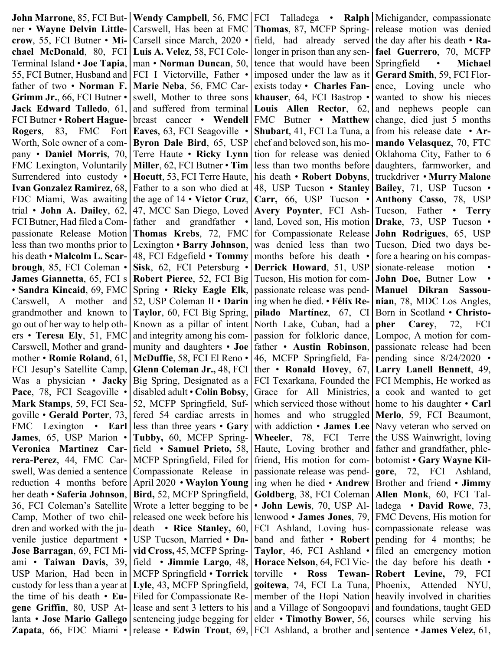**John Marrone**, 85, FCI Butner • **Wayne Delvin Littlecrow**, 55, FCI Butner • **Michael McDonald**, 80, FCI Terminal Island • **Joe Tapia**, 55, FCI Butner, Husband and father of two • **Norman F. Grimm Jr.**, 66, FCI Butner • **Jack Edward Talledo**, 61, FCI Butner • **Robert Hague-Rogers**, 83, FMC Fort Worth, Sole owner of a company • **Daniel Morris**, 70, FMC Lexington, Voluntarily Surrendered into custody • **Ivan Gonzalez Ramirez**, 68, FDC Miami, Was awaiting trial • **John A. Dailey**, 62, FCI Butner, Had filed a Compassionate Release Motion less than two months prior to his death • **Malcolm L. Scarbrough**, 85, FCI Coleman • **James Giannetta**, 65, FCI s • **Sandra Kincaid**, 69, FMC Carswell, A mother and grandmother and known to go out of her way to help others • **Teresa Ely**, 51, FMC Carswell, Mother and grandmother • **Romie Roland**, 61, FCI Jesup's Satellite Camp, Was a physician • **Jacky**  Pace, 78, FCI Seagoville • **Mark Stamps**, 59, FCI Seagoville • **Gerald Porter**, 73, FMC Lexington • **Earl James**, 65, USP Marion • **Veronica Martinez Carrera-Perez**, 44, FMC Carswell, Was denied a sentence reduction 4 months before her death • **Saferia Johnson**, 36, FCI Coleman's Satellite Camp, Mother of two children and worked with the juvenile justice department • **Jose Barragan**, 69, FCI Miami • **Taiwan Davis**, 39, USP Marion, Had been in custody for less than a year at the time of his death • **Eugene Griffin**, 80, USP Atlanta • **Jose Mario Gallego** 

**Wendy Campbell**, 56, FMC Carswell, Has been at FMC Carsell since March, 2020 • **Luis A. Velez**, 58, FCI Coleman • **Norman Duncan**, 50, FCI I Victorville, Father • **Marie Neba**, 56, FMC Carswell, Mother to three sons and suffered from terminal breast cancer • **Wendell Eaves**, 63, FCI Seagoville • **Byron Dale Bird**, 65, USP Terre Haute • **Ricky Lynn Miller**, 62, FCI Butner • **Tim Hocutt**, 53, FCI Terre Haute, Father to a son who died at the age of 14 • **Victor Cruz**, 47, MCC San Diego, Loved father and grandfather **Thomas Krebs**, 72, FMC Lexington • **Barry Johnson**, 48, FCI Edgefield • **Tommy Sisk**, 62, FCI Petersburg • **Robert Pierce**, 52, FCI Big Spring • **Ricky Eagle Elk**, 52, USP Coleman II • **Darin Taylor**, 60, FCI Big Spring, Known as a pillar of intent and integrity among his community and daughters • **Joe McDuffie**, 58, FCI El Reno • **Glenn Coleman Jr.,** 48, FCI Big Spring, Designated as a disabled adult • **Colin Bobsy**, 52, MCFP Springfield, Suffered 54 cardiac arrests in less than three years • **Gary Tubby,** 60, MCFP Springfield • **Samuel Prieto,** 58, MCFP Springfield, Filed for Compassionate Release in April 2020 • **Waylon Young Bird,** 52, MCFP Springfield, Wrote a letter begging to be released one week before his death • **Rice Stanley,** 60, USP Tucson, Married • **David Cross,** 45, MCFP Springfield • **Jimmie Largo**, 48, MCFP Springfield • **Torrick Lyle**, 43, MCFP Springfield, Filed for Compassionate Release and sent 3 letters to his sentencing judge begging for

**Zapata**, 66, FDC Miami • release • **Edwin Trout**, 69, FCI Ashland, a brother and sentence • **James Velez**, 61, FCI Talladega • **Ralph**  Michigander, compassionate **Thomas**, 87, MCFP Springfield, had already served longer in prison than any sentence that would have been imposed under the law as it exists today • **Charles Fankhauser**, 64, FCI Bastrop • **Louis Allen Rector**, 62, FMC Butner • **Matthew Shubart**, 41, FCI La Tuna, a chef and beloved son, his motion for release was denied less than two months before his death • **Robert Dobyns**, 48, USP Tucson • **Stanley Carr,** 66, USP Tucson • **Avery Poynter**, FCI Ashland, Loved son, His motion for Compassionate Release was denied less than two months before his death • **Derrick Howard**, 51, USP Tucson, His motion for compassionate release was pending when he died. • **Félix Repilado Martínez**, 67, CI North Lake, Cuban, had a passion for folkloric dance, father • **Austin Robinson**, 46, MCFP Springfield, Father • **Ronald Hovey**, 67, FCI Texarkana, Founded the Grace for All Ministries, which serviced those without homes and who struggled with addiction • **James Lee Wheeler**, 78, FCI Terre Haute, Loving brother and friend, His motion for compassionate release was pending when he died • **Andrew Goldberg**, 38, FCI Coleman • **John Lewis**, 70, USP Allenwood • **James Jones**, 79, FCI Ashland, Loving husband and father • **Robert Taylor**, 46, FCI Ashland • **Horace Nelson**, 64, FCI Victorville • **Ross Tewangoitewa**, 74, FCI La Tuna, member of the Hopi Nation and a Village of Songoopavi elder • **Timothy Bower**, 56,

release motion was denied the day after his death • **Rafael Guerrero**, 70, MCFP Springfield • **Michael Gerard Smith**, 59, FCI Florence, Loving uncle who wanted to show his nieces and nephews people can change, died just 5 months from his release date • **Armando Velasquez**, 70, FTC Oklahoma City, Father to 6 daughters, farmworker, and truckdriver • **Murry Malone Bailey**, 71, USP Tucson • **Anthony Casso**, 78, USP Tucson, Father • **Terry Drake**, 73, USP Tucson • **John Rodrigues**, 65, USP Tucson, Died two days before a hearing on his compassionate-release motion **John Doe,** Butner Low • **Manuel Dikran Sassounian**, 78, MDC Los Angles, Born in Scotland • **Christopher Carey**, 72, FCI Lompoc, A motion for compassionate release had been pending since 8/24/2020 • **Larry Lanell Bennett**, 49, FCI Memphis, He worked as a cook and wanted to get home to his daughter • **Carl Merlo**, 59, FCI Beaumont, Navy veteran who served on the USS Wainwright, loving father and grandfather, phlebotomist • **Gary Wayne Kilgore**, 72, FCI Ashland, Brother and friend • **Jimmy Allen Monk**, 60, FCI Talladega • **David Rowe**, 73, FMC Devens, His motion for compassionate release was pending for 4 months; he filed an emergency motion the day before his death • **Robert Levine,** 79, FCI Phoenix, Attended NYU, heavily involved in charities and foundations, taught GED courses while serving his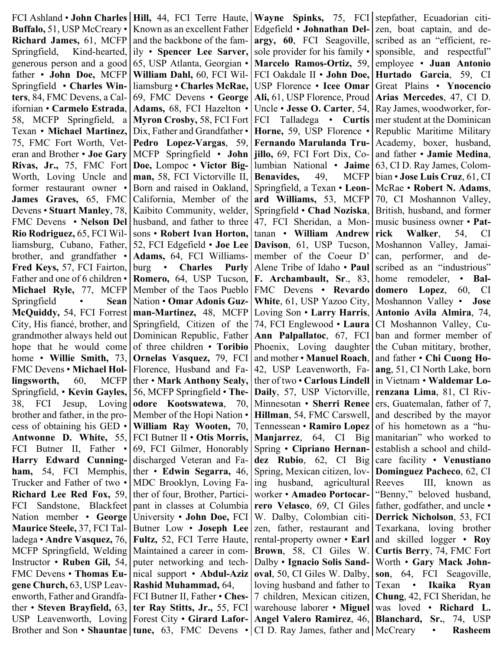FCI Ashland • **John Charles Buffalo,** 51, USP McCreary • **Richard James,** 61, MCFP Springfield, Kind-hearted, generous person and a good father • **John Doe,** MCFP Springfield • **Charles Winters**, 84, FMC Devens, a Californian • **Carmelo Estrada**, 58, MCFP Springfield, a Texan • **Michael Martinez,**  75, FMC Fort Worth, Veteran and Brother • **Joe Gary Rivas, Jr.,** 75, FMC Fort Worth, Loving Uncle and former restaurant owner • **James Graves,** 65, FMC Devens • **Stuart Manley**, 78, FMC Devens • **Nelson Del Rio Rodriguez,** 65, FCI Williamsburg, Cubano, Father, brother, and grandfather • **Fred Keys,** 57, FCI Fairton, Father and one of 6 children • **Michael Ryle,** 77, MCFP Springfield • **Sean McQuiddy,** 54, FCI Forrest City, His fiancé, brother, and grandmother always held out hope that he would come home • **Willie Smith,** 73, FMC Devens • **Michael Hollingsworth,** 60, MCFP Springfield, • **Kevin Gayles,**  38, FCI Jesup, Loving brother and father, in the process of obtaining his GED • **Antwonne D. White,** 55, FCI Butner II, Father • **Harry Edward Cunningham,** 54, FCI Memphis, Trucker and Father of two • **Richard Lee Red Fox,** 59, FCI Sandstone, Blackfeet Nation member • **George Maurice Steele,** 37, FCI Talladega • **Andre Vasquez,** 76, MCFP Springfield, Welding Instructor • **Ruben Gil,** 54, FMC Devens • **Thomas Eugene Church,** 63, USP Leavenworth, Father and Grandfather • **Steven Brayfield,** 63, USP Leavenworth, Loving

**Hill,** 44, FCI Terre Haute, Known as an excellent Father and the backbone of the family • **Spencer Lee Sarver,**  65, USP Atlanta, Georgian • **William Dahl,** 60, FCI Williamsburg • **Charles McRae,**  69, FMC Devens • **George Adams,** 68, FCI Hazelton • **Myron Crosby,** 58, FCI Fort Dix, Father and Grandfather • **Pedro Lopez-Vargas**, 59, MCFP Springfield • **John Doe,** Lompoc • **Victor Bigman,** 58, FCI Victorville II, Born and raised in Oakland, California, Member of the Kaibito Community, welder, husband, and father to three sons • **Robert Ivan Horton,**  52, FCI Edgefield • **Joe Lee Adams,** 64, FCI Williamsburg • **Charles Purly Romero,** 64, USP Tucson, Member of the Taos Pueblo Nation • **Omar Adonis Guzman-Martinez,** 48, MCFP Springfield, Citizen of the Dominican Republic, Father of three children • **Toribio Ornelas Vasquez,** 79, FCI Florence, Husband and Father • **Mark Anthony Sealy,**  56, MCFP Springfield • **Theodore Kootswatewa**, 70, Member of the Hopi Nation • **William Ray Wooten,** 70, FCI Butner II • **Otis Morris,**  69, FCI Gilmer, Honorably discharged Veteran and Father • **Edwin Segarra,** 46, MDC Brooklyn, Loving Father of four, Brother, Participant in classes at Columbia University • **John Doe,** FCI Butner Low • **Joseph Lee Fultz,** 52, FCI Terre Haute, Maintained a career in computer networking and technical support • **Abdul-Aziz Rashid Muhammad,** 64, FCI Butner II, Father • **Chester Ray Stitts, Jr.,** 55, FCI Forest City • **Girard Lafor-**

**Wayne Spinks,** 75, FCI Edgefield • **Johnathan Delargy, 60**, FCI Seagoville, sole provider for his family • **Marcelo Ramos-Ortiz,** 59, FCI Oakdale II • **John Doe,**  USP Florence • **Icee Omar Ali,** 61, USP Florence, Proud Uncle • **Jesse O. Carter**, 54, FCI Talladega • **Curtis Horne,** 59, USP Florence • **Fernando Marulanda Trujillo,** 69, FCI Fort Dix, Columbian National • **Jaime Benavides,** 49, MCFP Springfield, a Texan • **Leonard Williams,** 53, MCFP Springfield • **Chad Noziska**, 47, FCI Sheridan, a Montanan • **William Andrew Davison**, 61, USP Tucson, member of the Coeur D' Alene Tribe of Idaho • **Paul F. Archambault, Sr**., 83, FMC Devens • **Revardo White**, 61, USP Yazoo City, Loving Son • **Larry Harris**, 74, FCI Englewood • **Laura Ann Palpallatoc**, 67, FCI Phoenix, Loving daughter and mother • **Manuel Roach**, 42, USP Leavenworth, Father of two • **Carlous Lindell Daily**, 57, USP Victorville, Minnesotan • **Sherri Renee Hillman**, 54, FMC Carswell, Tennessean • **Ramiro Lopez Manjarrez**, 64, CI Big Spring • **Cipriano Hernandez Rubio**, 62, CI Big Spring, Mexican citizen, loving husband, agricultural worker • **Amadeo Portocarrero Velasco**, 69, CI Giles W. Dalby, Colombian citizen, father, restaurant and rental-property owner • **Earl Brown**, 58, CI Giles W. Dalby • **Ignacio Solis Sandoval**, 50, CI Giles W. Dalby, loving husband and father to 7 children, Mexican citizen, warehouse laborer • **Miguel Angel Valero Ramirez**, 46,

Brother and Son • **Shauntae** | **tune,** 63, FMC Devens • CI D. Ray James, father and | McCreary • **Rasheem** stepfather, Ecuadorian citizen, boat captain, and described as an "efficient, responsible, and respectful" employee • **Juan Antonio Hurtado Garcia**, 59, CI Great Plains • **Ynocencio Arias Mercedes**, 47, CI D. Ray James, woodworker, former student at the Dominican Republic Maritime Military Academy, boxer, husband, and father • **Jamie Medina**, 63, CI D. Ray James, Colombian • **Jose Luis Cruz**, 61, CI McRae • **Robert N. Adams**, 70, CI Moshannon Valley, British, husband, and former music business owner • **Patrick Walker**, 54, CI Moshannon Valley, Jamaican, performer, and described as an "industrious" home remodeler, • **Baldomero Lopez**, 60, CI Moshannon Valley • **Jose Antonio Avila Almira**, 74, CI Moshannon Valley, Cuban and former member of the Cuban mititary, brother, and father • **Chi Cuong Hoang**, 51, CI North Lake, born in Vietnam • **Waldemar Lorenzana Lima**, 81, CI Rivers, Guatemalan, father of 7, and described by the mayor of his hometown as a "humanitarian" who worked to establish a school and childcare facility • **Venustiano Dominguez Pacheco**, 62, CI Reeves III, known as "Benny," beloved husband, father, godfather, and uncle • **Derrick Nicholson**, 53, FCI Texarkana, loving brother and skilled logger • **Roy Curtis Berry**, 74, FMC Fort Worth • **Gary Mack Johnson**, 64, FCI Seagoville, Texan • **Ikaika Ryan Chung**, 42, FCI Sheridan, he was loved • **Richard L. Blanchard, Sr.**, 74, USP